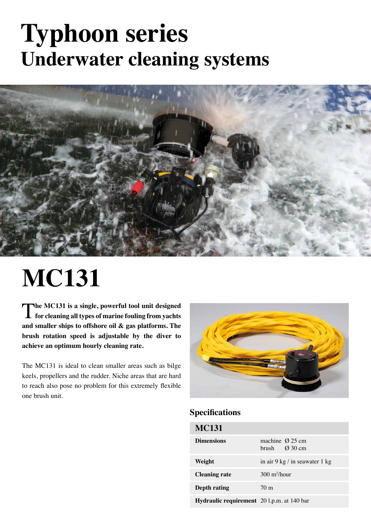### **Typhoon series Underwater cleaning systems**



# **MC131**

The MC131 is a single, powerful tool unit designed for cleaning all types of marine fouling from yachts **and smaller ships to offshore oil & gas platforms. The brush rotation speed is adjustable by the diver to achieve an optimum hourly cleaning rate.**

The MC131 is ideal to clean smaller areas such as bilge keels, propellers and the rudder. Niche areas that are hard to reach also pose no problem for this extremely flexible one brush unit.



#### **Specifications**

| <b>MC131</b>                               |                                                        |
|--------------------------------------------|--------------------------------------------------------|
| <b>Dimensions</b>                          | machine $\varnothing$ 25 cm<br>brush $\emptyset$ 30 cm |
| Weight                                     | in air $9 \text{ kg} / \text{in}$ seawater 1 kg        |
| <b>Cleaning rate</b>                       | $300 \text{ m}^2$ /hour                                |
| Depth rating                               | 70 <sub>m</sub>                                        |
| Hydraulic requirement 20 l.p.m. at 140 bar |                                                        |